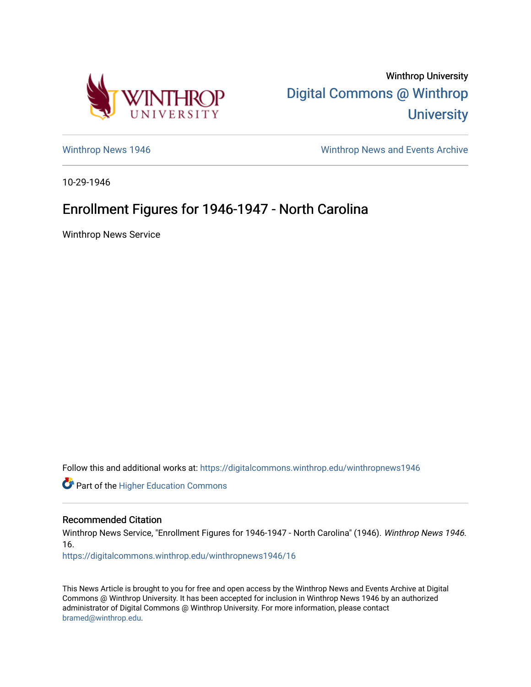

Winthrop University [Digital Commons @ Winthrop](https://digitalcommons.winthrop.edu/)  **University** 

[Winthrop News 1946](https://digitalcommons.winthrop.edu/winthropnews1946) Minthrop News and Events Archive

10-29-1946

## Enrollment Figures for 1946-1947 - North Carolina

Winthrop News Service

Follow this and additional works at: [https://digitalcommons.winthrop.edu/winthropnews1946](https://digitalcommons.winthrop.edu/winthropnews1946?utm_source=digitalcommons.winthrop.edu%2Fwinthropnews1946%2F16&utm_medium=PDF&utm_campaign=PDFCoverPages) 

Part of the [Higher Education Commons](http://network.bepress.com/hgg/discipline/1245?utm_source=digitalcommons.winthrop.edu%2Fwinthropnews1946%2F16&utm_medium=PDF&utm_campaign=PDFCoverPages) 

## Recommended Citation

Winthrop News Service, "Enrollment Figures for 1946-1947 - North Carolina" (1946). Winthrop News 1946. 16.

[https://digitalcommons.winthrop.edu/winthropnews1946/16](https://digitalcommons.winthrop.edu/winthropnews1946/16?utm_source=digitalcommons.winthrop.edu%2Fwinthropnews1946%2F16&utm_medium=PDF&utm_campaign=PDFCoverPages)

This News Article is brought to you for free and open access by the Winthrop News and Events Archive at Digital Commons @ Winthrop University. It has been accepted for inclusion in Winthrop News 1946 by an authorized administrator of Digital Commons @ Winthrop University. For more information, please contact [bramed@winthrop.edu.](mailto:bramed@winthrop.edu)